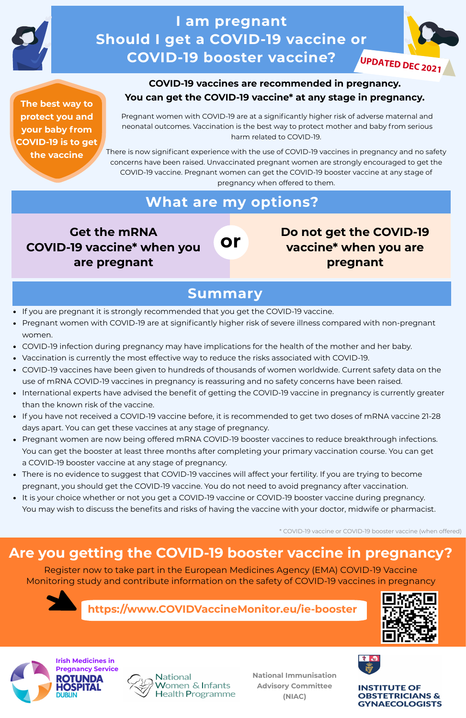# **Get the mRNA COVID-19 vaccine\* when you are pregnant**

**or**

**Do not get the COVID-19 vaccine\* when you are pregnant**

# **What are my options?**

**The best way to protect you and your baby from COVID-19 is to get the vaccine**



# **I am pregnant [Should I get a COVID-19 vaccine or](https://www.covidvaccinemonitor.eu/ie-booster) COVID-19 booster vaccine? UPDATED DEC 2021**

Pregnant women with COVID-19 are at a significantly higher risk of adverse maternal and neonatal outcomes. Vaccination is the best way to protect mother and baby from serious harm related to COVID-19.

# **COVID-19 vaccines are recommended in pregnancy. You can get the COVID-19 vaccine\* at any stage in pregnancy.**

# **Summary**

- If you are pregnant it is strongly recommended that you get the COVID-19 vaccine.
- Pregnant women with COVID-19 are at significantly higher risk of severe illness compared with non-pregnant women.
- COVID-19 infection during pregnancy may have implications for the health of the mother and her baby.
- Vaccination is currently the most effective way to reduce the risks associated with COVID-19.
- COVID-19 vaccines have been given to hundreds of thousands of women worldwide. Current safety data on the use of mRNA COVID-19 vaccines in pregnancy is reassuring and no safety concerns have been raised.
- International experts have advised the benefit of getting the COVID-19 vaccine in pregnancy is currently greater than the known risk of the vaccine.
- If you have not received a COVID-19 vaccine before, it is recommended to get two doses of mRNA vaccine 21-28 days apart. You can get these vaccines at any stage of pregnancy.
- Pregnant women are now being offered mRNA COVID-19 booster vaccines to reduce breakthrough infections. You can get the booster at least three months after completing your primary vaccination course. You can get a COVID-19 booster vaccine at any stage of pregnancy.

- There is no evidence to suggest that COVID-19 vaccines will affect your fertility. If you are trying to become pregnant, you should get the COVID-19 vaccine. You do not need to avoid pregnancy after vaccination.
- It is your choice whether or not you get a COVID-19 vaccine or COVID-19 booster vaccine during pregnancy. You may wish to discuss the benefits and risks of having the vaccine with your doctor, midwife or pharmacist.

**National Immunisation Advisory Committee (NIAC)**



#### **INSTITUTE OF OBSTETRICIANS &**









\* COVID-19 vaccine or COVID-19 booster vaccine (when offered)

There is now significant experience with the use of COVID-19 vaccines in pregnancy and no safety concerns have been raised. Unvaccinated pregnant women are strongly encouraged to get the COVID-19 vaccine. Pregnant women can get the COVID-19 booster vaccine at any stage of pregnancy when offered to them.

# **[Are you getting the COVID-19 booster vaccine in pregnancy?](https://www.covidvaccinemonitor.eu/ie-booster)**

# **[https://www.COVIDVaccineMonitor.eu/ie-booster](https://www.covidvaccinemonitor.eu/ie-booster)**



Register now to take part in the European Medicines Agency (EMA) COVID-19 Vaccine [Monitoring study and contribute information on the safety of COVID-19 vaccines in pregnancy](https://www.covidvaccinemonitor.eu/ie-booster)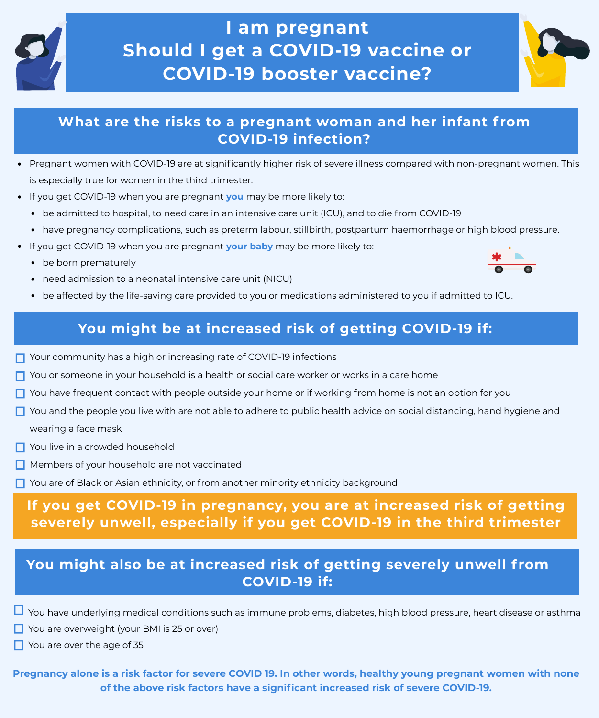

- Pregnant women with COVID-19 are at significantly higher risk of severe illness compared with non-pregnant women. This is especially true for women in the third trimester.
- If you get COVID-19 when you are pregnant **you** may be more likely to:  $\bullet$ 
	- be admitted to hospital, to need care in an intensive care unit (ICU), and to die from COVID-19
	- have pregnancy complications, such as preterm labour, stillbirth, postpartum haemorrhage or high blood pressure.
- If you get COVID-19 when you are pregnant **your baby** may be more likely to:
	- be born prematurely
	- need admission to a neonatal intensive care unit (NICU)
	- be affected by the life-saving care provided to you or medications administered to you if admitted to ICU.



Pregnancy alone is a risk factor for severe COVID 19. In other words, healthy young pregnant women with none **of the above risk factors have a significant increased risk of severe COVID-19.**

# **You might be at increased risk of getting COVID-19 if:**

- Your community has a high or increasing rate of COVID-19 infections
- You or someone in your household is a health or social care worker or works in a care home
- You have frequent contact with people outside your home or if working from home is not an option for you
- You and the people you live with are not able to adhere to public health advice on social distancing, hand hygiene and wearing a face mask
- You live in a crowded household
- Members of your household are not vaccinated
- You are of Black or Asian ethnicity, or from another minority ethnicity background

# **You might also be at increased risk of getting severely unwell f rom COVID-19 if:**

 $\Box$  You have underlying medical conditions such as immune problems, diabetes, high blood pressure, heart disease or asthma

You are overweight (your BMI is 25 or over)

 $\Box$  You are over the age of 35

**If you get COVID-19 in pregnancy, you are at increased risk of getting severely unwell, especially if you get COVID-19 in the third trimester**



**I am pregnant Should I get a COVID-19 vaccine or COVID-19 booster vaccine?**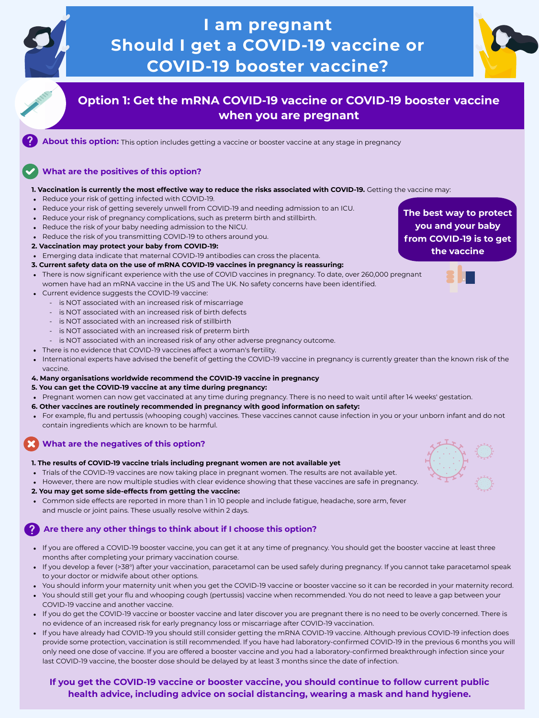# **Option 1: Get the mRNA COVID-19 vaccine or COVID-19 booster vaccine when you are pregnant**

About this option: This option includes getting a vaccine or booster vaccine at any stage in pregnancy

- Reduce your risk of getting infected with COVID-19.
- Reduce your risk of getting severely unwell from COVID-19 and needing admission to an ICU.
- Reduce your risk of pregnancy complications, such as preterm birth and stillbirth.  $\bullet$
- Reduce the risk of your baby needing admission to the NICU.
- Reduce the risk of you transmitting COVID-19 to others around you.
- **2. Vaccination may protect your baby from COVID-19:**
- Emerging data indicate that maternal COVID-19 antibodies can cross the placenta.

**3. Current safety data on the use of mRNA COVID-19 vaccines in pregnancy is reassuring:**

- There is now significant experience with the use of COVID vaccines in pregnancy. To date, over 260,000 pregnant women have had an mRNA vaccine in the US and The UK. No safety concerns have been identified.
- Current evidence suggests the COVID-19 vaccine:
	- is NOT associated with an increased risk of miscarriage
	- is NOT associated with an increased risk of birth defects
	- is NOT associated with an increased risk of stillbirth
	- is NOT associated with an increased risk of preterm birth
	- is NOT associated with an increased risk of any other adverse pregnancy outcome.
- There is no evidence that COVID-19 vaccines affect a woman's fertility.
- International experts have advised the benefit of getting the COVID-19 vaccine in pregnancy is currently greater than the known risk of the vaccine.
- **4. Many organisations worldwide recommend the COVID-19 vaccine in pregnancy**
- **5. You can get the COVID-19 vaccine at any time during pregnancy:**
- Pregnant women can now get vaccinated at any time during pregnancy. There is no need to wait until after 14 weeks' gestation.
- **6. Other vaccines are routinely recommended in pregnancy with good information on safety:**
- For example, flu and pertussis (whooping cough) vaccines. These vaccines cannot cause infection in you or your unborn infant and do not contain ingredients which are known to be harmful.

- If you are offered a COVID-19 booster vaccine, you can get it at any time of pregnancy. You should get the booster vaccine at least three months after completing your primary vaccination course.
- If you develop a fever (>38°) after your vaccination, paracetamol can be used safely during pregnancy. If you cannot take paracetamol speak to your doctor or midwife about other options.
- You should inform your maternity unit when you get the COVID-19 vaccine or booster vaccine so it can be recorded in your maternity record.
- You should still get your flu and whooping cough (pertussis) vaccine when recommended. You do not need to leave a gap between your COVID-19 vaccine and another vaccine.
- If you do get the COVID-19 vaccine or booster vaccine and later discover you are pregnant there is no need to be overly concerned. There is no evidence of an increased risk for early pregnancy loss or miscarriage after COVID-19 vaccination.
- If you have already had COVID-19 you should still consider getting the mRNA COVID-19 vaccine. Although previous COVID-19 infection does provide some protection, vaccination is still recommended. If you have had laboratory-confirmed COVID-19 in the previous 6 months you will only need one dose of vaccine. If you are offered a booster vaccine and you had a laboratory-confirmed breakthrough infection since your last COVID-19 vaccine, the booster dose should be delayed by at least 3 months since the date of infection.

#### **1. The results of COVID-19 vaccine trials including pregnant women are not available yet**

- Trials of the COVID-19 vaccines are now taking place in pregnant women. The results are not available yet.
- However, there are now multiple studies with clear evidence showing that these vaccines are safe in pregnancy.
- **2. You may get some side-effects from getting the vaccine:**
- Common side effects are reported in more than 1 in 10 people and include fatigue, headache, sore arm, fever and muscle or joint pains. These usually resolve within 2 days.

**The best way to protect you and your baby from COVID-19 is to get the vaccine**

**If you get the COVID-19 vaccine or booster vaccine, you should continue to follow current public health advice, including advice on social distancing, wearing a mask and hand hygiene.**

### **What are the positives of this option?**

#### 1. Vaccination is currently the most effective way to reduce the risks associated with COVID-19. Getting the vaccine may:

### **What are the negatives of this option?**

## **Are there any other things to think about if I choose this option?**



# **I am pregnant Should I get a COVID-19 vaccine or COVID-19 booster vaccine?**

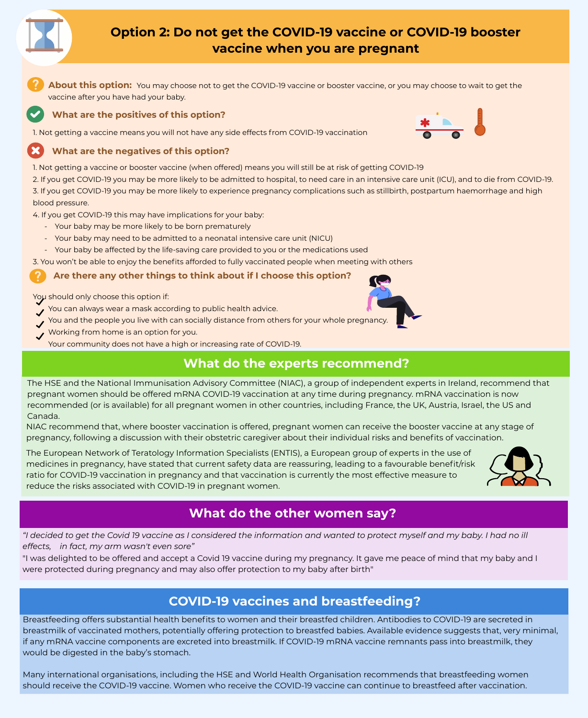

# **Option 2: Do not get the COVID-19 vaccine or COVID-19 booster vaccine when you are pregnant**

**About this option:** You may choose not to get the COVID-19 vaccine or booster vaccine, or you may choose to wait to get the vaccine after you have had your baby.

1. Not getting a vaccine means you will not have any side effects from COVID-19 vaccination

1. Not getting a vaccine or booster vaccine (when offered) means you will still be at risk of getting COVID-19

2. If you get COVID-19 you may be more likely to be admitted to hospital, to need care in an intensive care unit (ICU), and to die from COVID-19. 3. If you get COVID-19 you may be more likely to experience pregnancy complications such as stillbirth, postpartum haemorrhage and high blood pressure.

- 4. If you get COVID-19 this may have implications for your baby:
	- Your baby may be more likely to be born prematurely
	- Your baby may need to be admitted to a neonatal intensive care unit (NICU)
	- Your baby be affected by the life-saving care provided to you or the medications used

3. You won't be able to enjoy the benefits afforded to fully vaccinated people when meeting with others

"I decided to get the Covid 19 vaccine as I considered the information and wanted to protect myself and my baby. I had no ill *effects, in fact, my arm wasn't even sore"*

You can always wear a mask according to public health advice.

You and the people you live with can socially distance from others for your whole pregnancy.

Working from home is an option for you.

Your community does not have a high or increasing rate of COVID-19.

### **COVID-19 vaccines and breastfeeding?**

Breastfeeding offers substantial health benefits to women and their breastfed children. Antibodies to COVID-19 are secreted in breastmilk of vaccinated mothers, potentially offering protection to breastfed babies. Available evidence suggests that, very minimal, if any mRNA vaccine components are excreted into breastmilk. If COVID-19 mRNA vaccine remnants pass into breastmilk, they would be digested in the baby's stomach.

Many international organisations, including the HSE and World Health Organisation recommends that breastfeeding women should receive the COVID-19 vaccine. Women who receive the COVID-19 vaccine can continue to breastfeed after vaccination.

# **What do the other women say?**

"I was delighted to be offered and accept a Covid 19 vaccine during my pregnancy. It gave me peace of mind that my baby and I were protected during pregnancy and may also offer protection to my baby after birth"

### **What are the positives of this option?**

### **What are the negatives of this option?**



### **Are there any other things to think about if I choose this option?**



You should only choose this option if:

The HSE and the National Immunisation Advisory Committee (NIAC), a group of independent experts in Ireland, recommend that pregnant women should be offered mRNA COVID-19 vaccination at any time during pregnancy. mRNA vaccination is now recommended (or is available) for all pregnant women in other countries, including France, the UK, Austria, Israel, the US and Canada.

The European Network of Teratology Information Specialists (ENTIS), a European group of experts in the use of medicines in pregnancy, have stated that current safety data are reassuring, leading to a favourable benefit/risk ratio for COVID-19 vaccination in pregnancy and that vaccination is currently the most effective measure to reduce the risks associated with COVID-19 in pregnant women.



# **What do the experts recommend?**

NIAC recommend that, where booster vaccination is offered, pregnant women can receive the booster vaccine at any stage of pregnancy, following a discussion with their obstetric caregiver about their individual risks and benefits of vaccination.